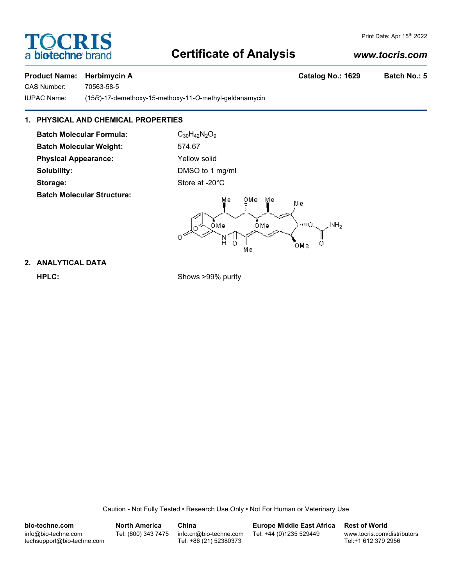# **SCRI** a biotechne

#### Print Date: Apr 15th 2022

# **Certificate of Analysis**

### *www.tocris.com*

#### **Product Name: Herbimycin A Catalog No.: 1629 Batch No.: 5**

CAS Number: 70563-58-5

IUPAC Name: (15*R*)-17-demethoxy-15-methoxy-11-*O*-methyl-geldanamycin

## **1. PHYSICAL AND CHEMICAL PROPERTIES**

**Batch Molecular Formula:** C<sub>30</sub>H<sub>42</sub>N<sub>2</sub>O<sub>9</sub> Batch Molecular Weight: 574.67 **Physical Appearance:** Yellow solid **Solubility:** DMSO to 1 mg/ml

**Batch Molecular Structure:**

Storage: Storage: Store at -20°C



## **2. ANALYTICAL DATA**

**HPLC:** Shows >99% purity

Caution - Not Fully Tested • Research Use Only • Not For Human or Veterinary Use

| bio-techne.com                                    | <b>North America</b> | China                                            | <b>Europe Middle East Africa</b> | <b>Rest of World</b>                               |
|---------------------------------------------------|----------------------|--------------------------------------------------|----------------------------------|----------------------------------------------------|
| info@bio-techne.com<br>techsupport@bio-techne.com | Tel: (800) 343 7475  | info.cn@bio-techne.com<br>Tel: +86 (21) 52380373 | Tel: +44 (0)1235 529449          | www.tocris.com/distributors<br>Tel:+1 612 379 2956 |